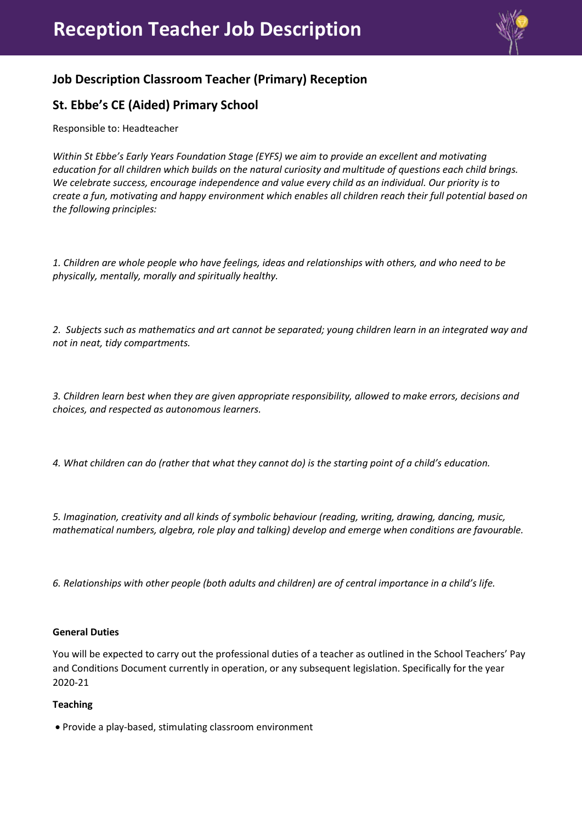

# **Job Description Classroom Teacher (Primary) Reception**

# **St. Ebbe's CE (Aided) Primary School**

Responsible to: Headteacher

*Within St Ebbe's Early Years Foundation Stage (EYFS) we aim to provide an excellent and motivating education for all children which builds on the natural curiosity and multitude of questions each child brings. We celebrate success, encourage independence and value every child as an individual. Our priority is to create a fun, motivating and happy environment which enables all children reach their full potential based on the following principles:*

*1. Children are whole people who have feelings, ideas and relationships with others, and who need to be physically, mentally, morally and spiritually healthy.*

*2. Subjects such as mathematics and art cannot be separated; young children learn in an integrated way and not in neat, tidy compartments.*

*3. Children learn best when they are given appropriate responsibility, allowed to make errors, decisions and choices, and respected as autonomous learners.*

*4. What children can do (rather that what they cannot do) is the starting point of a child's education.*

*5. Imagination, creativity and all kinds of symbolic behaviour (reading, writing, drawing, dancing, music, mathematical numbers, algebra, role play and talking) develop and emerge when conditions are favourable.*

*6. Relationships with other people (both adults and children) are of central importance in a child's life.*

### **General Duties**

You will be expected to carry out the professional duties of a teacher as outlined in the School Teachers' Pay and Conditions Document currently in operation, or any subsequent legislation. Specifically for the year 2020-21

## **Teaching**

Provide a play-based, stimulating classroom environment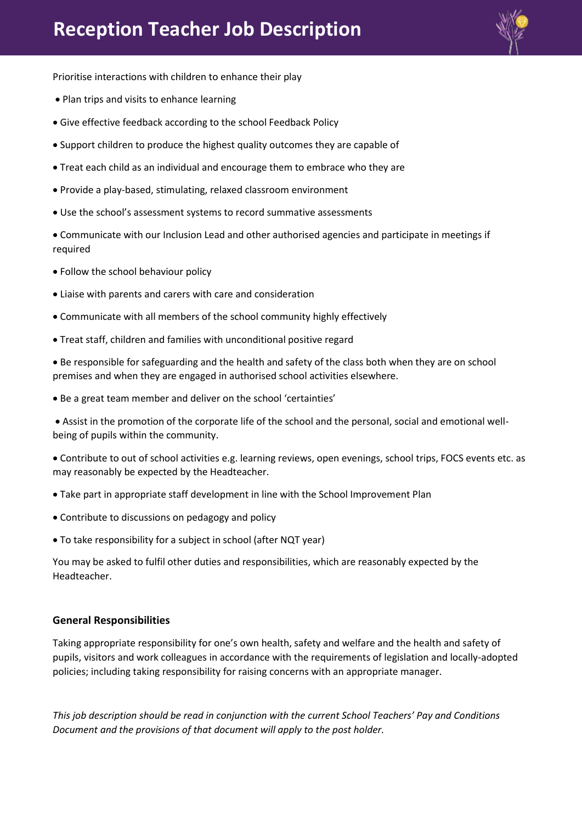

Prioritise interactions with children to enhance their play

- Plan trips and visits to enhance learning
- Give effective feedback according to the school Feedback Policy
- Support children to produce the highest quality outcomes they are capable of
- Treat each child as an individual and encourage them to embrace who they are
- Provide a play-based, stimulating, relaxed classroom environment
- Use the school's assessment systems to record summative assessments

 Communicate with our Inclusion Lead and other authorised agencies and participate in meetings if required

- Follow the school behaviour policy
- Liaise with parents and carers with care and consideration
- Communicate with all members of the school community highly effectively
- Treat staff, children and families with unconditional positive regard

 Be responsible for safeguarding and the health and safety of the class both when they are on school premises and when they are engaged in authorised school activities elsewhere.

Be a great team member and deliver on the school 'certainties'

 Assist in the promotion of the corporate life of the school and the personal, social and emotional wellbeing of pupils within the community.

 Contribute to out of school activities e.g. learning reviews, open evenings, school trips, FOCS events etc. as may reasonably be expected by the Headteacher.

- Take part in appropriate staff development in line with the School Improvement Plan
- Contribute to discussions on pedagogy and policy
- To take responsibility for a subject in school (after NQT year)

You may be asked to fulfil other duties and responsibilities, which are reasonably expected by the Headteacher.

### **General Responsibilities**

Taking appropriate responsibility for one's own health, safety and welfare and the health and safety of pupils, visitors and work colleagues in accordance with the requirements of legislation and locally-adopted policies; including taking responsibility for raising concerns with an appropriate manager.

*This job description should be read in conjunction with the current School Teachers' Pay and Conditions Document and the provisions of that document will apply to the post holder.*